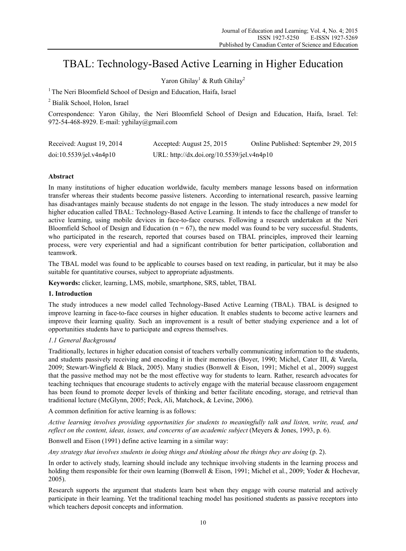# TBAL: Technology-Based Active Learning in Higher Education

Yaron Ghilay<sup>1</sup> & Ruth Ghilay<sup>2</sup>

<sup>1</sup> The Neri Bloomfield School of Design and Education, Haifa, Israel

2 Bialik School, Holon, Israel

Correspondence: Yaron Ghilay, the Neri Bloomfield School of Design and Education, Haifa, Israel. Tel: 972-54-468-8929. E-mail: yghilay@gmail.com

| Received: August 19, 2014 | Accepted: August 25, 2015                  | Online Published: September 29, 2015 |
|---------------------------|--------------------------------------------|--------------------------------------|
| doi:10.5539/jel.v4n4p10   | URL: http://dx.doi.org/10.5539/jel.v4n4p10 |                                      |

# **Abstract**

In many institutions of higher education worldwide, faculty members manage lessons based on information transfer whereas their students become passive listeners. According to international research, passive learning has disadvantages mainly because students do not engage in the lesson. The study introduces a new model for higher education called TBAL: Technology-Based Active Learning. It intends to face the challenge of transfer to active learning, using mobile devices in face-to-face courses. Following a research undertaken at the Neri Bloomfield School of Design and Education ( $n = 67$ ), the new model was found to be very successful. Students, who participated in the research, reported that courses based on TBAL principles, improved their learning process, were very experiential and had a significant contribution for better participation, collaboration and teamwork.

The TBAL model was found to be applicable to courses based on text reading, in particular, but it may be also suitable for quantitative courses, subject to appropriate adjustments.

**Keywords:** clicker, learning, LMS, mobile, smartphone, SRS, tablet, TBAL

# **1. Introduction**

The study introduces a new model called Technology-Based Active Learning (TBAL). TBAL is designed to improve learning in face-to-face courses in higher education. It enables students to become active learners and improve their learning quality. Such an improvement is a result of better studying experience and a lot of opportunities students have to participate and express themselves.

# *1.1 General Background*

Traditionally, lectures in higher education consist of teachers verbally communicating information to the students, and students passively receiving and encoding it in their memories (Boyer, 1990; Michel, Cater III, & Varela, 2009; Stewart-Wingfield & Black, 2005). Many studies (Bonwell & Eison, 1991; Michel et al., 2009) suggest that the passive method may not be the most effective way for students to learn. Rather, research advocates for teaching techniques that encourage students to actively engage with the material because classroom engagement has been found to promote deeper levels of thinking and better facilitate encoding, storage, and retrieval than traditional lecture (McGlynn, 2005; Peck, Ali, Matchock, & Levine, 2006).

A common definition for active learning is as follows:

*Active learning involves providing opportunities for students to meaningfully talk and listen, write, read, and reflect on the content, ideas, issues, and concerns of an academic subject* (Meyers & Jones, 1993, p. 6).

Bonwell and Eison (1991) define active learning in a similar way:

*Any strategy that involves students in doing things and thinking about the things they are doing* (p. 2).

In order to actively study, learning should include any technique involving students in the learning process and holding them responsible for their own learning (Bonwell & Eison, 1991; Michel et al., 2009; Yoder & Hochevar, 2005).

Research supports the argument that students learn best when they engage with course material and actively participate in their learning. Yet the traditional teaching model has positioned students as passive receptors into which teachers deposit concepts and information.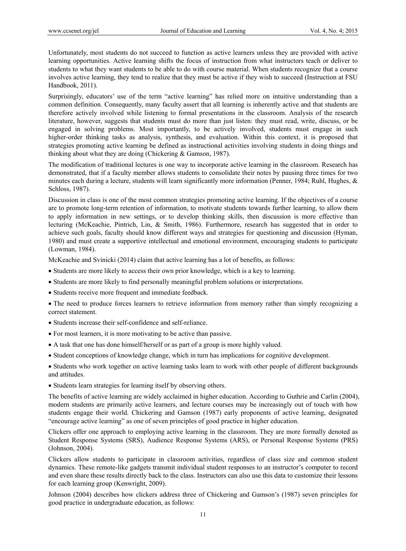Unfortunately, most students do not succeed to function as active learners unless they are provided with active learning opportunities. Active learning shifts the focus of instruction from what instructors teach or deliver to students to what they want students to be able to do with course material. When students recognize that a course involves active learning, they tend to realize that they must be active if they wish to succeed (Instruction at FSU Handbook, 2011).

Surprisingly, educators' use of the term "active learning" has relied more on intuitive understanding than a common definition. Consequently, many faculty assert that all learning is inherently active and that students are therefore actively involved while listening to formal presentations in the classroom. Analysis of the research literature, however, suggests that students must do more than just listen: they must read, write, discuss, or be engaged in solving problems. Most importantly, to be actively involved, students must engage in such higher-order thinking tasks as analysis, synthesis, and evaluation. Within this context, it is proposed that strategies promoting active learning be defined as instructional activities involving students in doing things and thinking about what they are doing (Chickering & Gamson, 1987).

The modification of traditional lectures is one way to incorporate active learning in the classroom. Research has demonstrated, that if a faculty member allows students to consolidate their notes by pausing three times for two minutes each during a lecture, students will learn significantly more information (Penner, 1984; Ruhl, Hughes, & Schloss, 1987).

Discussion in class is one of the most common strategies promoting active learning. If the objectives of a course are to promote long-term retention of information, to motivate students towards further learning, to allow them to apply information in new settings, or to develop thinking skills, then discussion is more effective than lecturing (McKeachie, Pintrich, Lin, & Smith, 1986). Furthermore, research has suggested that in order to achieve such goals, faculty should know different ways and strategies for questioning and discussion (Hyman, 1980) and must create a supportive intellectual and emotional environment, encouraging students to participate (Lowman, 1984).

McKeachie and Svinicki (2014) claim that active learning has a lot of benefits, as follows:

- Students are more likely to access their own prior knowledge, which is a key to learning.
- Students are more likely to find personally meaningful problem solutions or interpretations.
- Students receive more frequent and immediate feedback.

• The need to produce forces learners to retrieve information from memory rather than simply recognizing a correct statement.

- Students increase their self-confidence and self-reliance.
- For most learners, it is more motivating to be active than passive.
- A task that one has done himself/herself or as part of a group is more highly valued.
- Student conceptions of knowledge change, which in turn has implications for cognitive development.
- Students who work together on active learning tasks learn to work with other people of different backgrounds and attitudes.
- Students learn strategies for learning itself by observing others.

The benefits of active learning are widely acclaimed in higher education. According to Guthrie and Carlin (2004), modern students are primarily active learners, and lecture courses may be increasingly out of touch with how students engage their world. Chickering and Gamson (1987) early proponents of active learning, designated "encourage active learning" as one of seven principles of good practice in higher education.

Clickers offer one approach to employing active learning in the classroom. They are more formally denoted as Student Response Systems (SRS), Audience Response Systems (ARS), or Personal Response Systems (PRS) (Johnson, 2004).

Clickers allow students to participate in classroom activities, regardless of class size and common student dynamics. These remote-like gadgets transmit individual student responses to an instructor's computer to record and even share these results directly back to the class. Instructors can also use this data to customize their lessons for each learning group (Kenwright, 2009).

Johnson (2004) describes how clickers address three of Chickering and Gamson's (1987) seven principles for good practice in undergraduate education, as follows: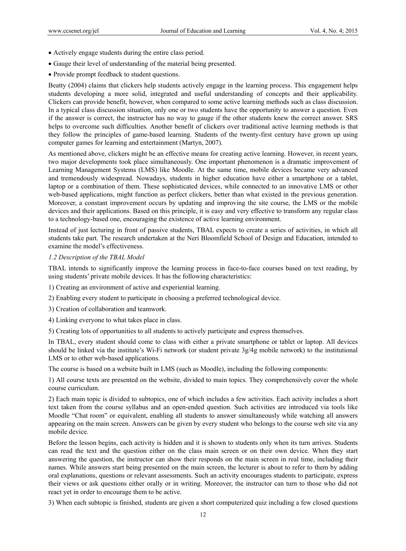- Actively engage students during the entire class period.
- Gauge their level of understanding of the material being presented.
- Provide prompt feedback to student questions.

Beatty (2004) claims that clickers help students actively engage in the learning process. This engagement helps students developing a more solid, integrated and useful understanding of concepts and their applicability. Clickers can provide benefit, however, when compared to some active learning methods such as class discussion. In a typical class discussion situation, only one or two students have the opportunity to answer a question. Even if the answer is correct, the instructor has no way to gauge if the other students knew the correct answer. SRS helps to overcome such difficulties. Another benefit of clickers over traditional active learning methods is that they follow the principles of game-based learning. Students of the twenty-first century have grown up using computer games for learning and entertainment (Martyn, 2007).

As mentioned above, clickers might be an effective means for creating active learning. However, in recent years, two major developments took place simultaneously. One important phenomenon is a dramatic improvement of Learning Management Systems (LMS) like Moodle. At the same time, mobile devices became very advanced and tremendously widespread. Nowadays, students in higher education have either a smartphone or a tablet, laptop or a combination of them. These sophisticated devices, while connected to an innovative LMS or other web-based applications, might function as perfect clickers, better than what existed in the previous generation. Moreover, a constant improvement occurs by updating and improving the site course, the LMS or the mobile devices and their applications. Based on this principle, it is easy and very effective to transform any regular class to a technology-based one, encouraging the existence of active learning environment.

Instead of just lecturing in front of passive students, TBAL expects to create a series of activities, in which all students take part. The research undertaken at the Neri Bloomfield School of Design and Education, intended to examine the model's effectiveness.

# *1.2 Description of the TBAL Model*

TBAL intends to significantly improve the learning process in face-to-face courses based on text reading, by using students' private mobile devices. It has the following characteristics:

1) Creating an environment of active and experiential learning.

- 2) Enabling every student to participate in choosing a preferred technological device.
- 3) Creation of collaboration and teamwork.
- 4) Linking everyone to what takes place in class.

5) Creating lots of opportunities to all students to actively participate and express themselves.

In TBAL, every student should come to class with either a private smartphone or tablet or laptop. All devices should be linked via the institute's Wi-Fi network (or student private 3g/4g mobile network) to the institutional LMS or to other web-based applications.

The course is based on a website built in LMS (such as Moodle), including the following components:

1) All course texts are presented on the website, divided to main topics. They comprehensively cover the whole course curriculum.

2) Each main topic is divided to subtopics, one of which includes a few activities. Each activity includes a short text taken from the course syllabus and an open-ended question. Such activities are introduced via tools like Moodle "Chat room" or equivalent, enabling all students to answer simultaneously while watching all answers appearing on the main screen. Answers can be given by every student who belongs to the course web site via any mobile device.

Before the lesson begins, each activity is hidden and it is shown to students only when its turn arrives. Students can read the text and the question either on the class main screen or on their own device. When they start answering the question, the instructor can show their responds on the main screen in real time, including their names. While answers start being presented on the main screen, the lecturer is about to refer to them by adding oral explanations, questions or relevant assessments. Such an activity encourages students to participate, express their views or ask questions either orally or in writing. Moreover, the instructor can turn to those who did not react yet in order to encourage them to be active.

3) When each subtopic is finished, students are given a short computerized quiz including a few closed questions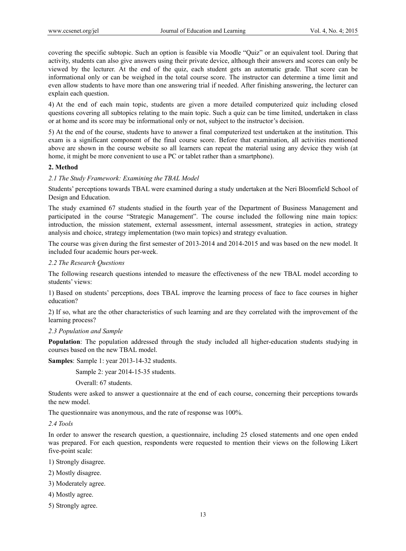covering the specific subtopic. Such an option is feasible via Moodle "Quiz" or an equivalent tool. During that activity, students can also give answers using their private device, although their answers and scores can only be viewed by the lecturer. At the end of the quiz, each student gets an automatic grade. That score can be informational only or can be weighed in the total course score. The instructor can determine a time limit and even allow students to have more than one answering trial if needed. After finishing answering, the lecturer can explain each question.

4) At the end of each main topic, students are given a more detailed computerized quiz including closed questions covering all subtopics relating to the main topic. Such a quiz can be time limited, undertaken in class or at home and its score may be informational only or not, subject to the instructor's decision.

5) At the end of the course, students have to answer a final computerized test undertaken at the institution. This exam is a significant component of the final course score. Before that examination, all activities mentioned above are shown in the course website so all learners can repeat the material using any device they wish (at home, it might be more convenient to use a PC or tablet rather than a smartphone).

# **2. Method**

## *2.1 The Study Framework: Examining the TBAL Model*

Students' perceptions towards TBAL were examined during a study undertaken at the Neri Bloomfield School of Design and Education.

The study examined 67 students studied in the fourth year of the Department of Business Management and participated in the course "Strategic Management". The course included the following nine main topics: introduction, the mission statement, external assessment, internal assessment, strategies in action, strategy analysis and choice, strategy implementation (two main topics) and strategy evaluation.

The course was given during the first semester of 2013-2014 and 2014-2015 and was based on the new model. It included four academic hours per-week.

## *2.2 The Research Questions*

The following research questions intended to measure the effectiveness of the new TBAL model according to students' views:

1) Based on students' perceptions, does TBAL improve the learning process of face to face courses in higher education?

2) If so, what are the other characteristics of such learning and are they correlated with the improvement of the learning process?

#### *2.3 Population and Sample*

**Population**: The population addressed through the study included all higher-education students studying in courses based on the new TBAL model.

**Samples**: Sample 1: year 2013-14-32 students.

Sample 2: year 2014-15-35 students.

Overall: 67 students.

Students were asked to answer a questionnaire at the end of each course, concerning their perceptions towards the new model.

The questionnaire was anonymous, and the rate of response was 100%.

*2.4 Tools* 

In order to answer the research question, a questionnaire, including 25 closed statements and one open ended was prepared. For each question, respondents were requested to mention their views on the following Likert five-point scale:

1) Strongly disagree.

- 2) Mostly disagree.
- 3) Moderately agree.
- 4) Mostly agree.
- 5) Strongly agree.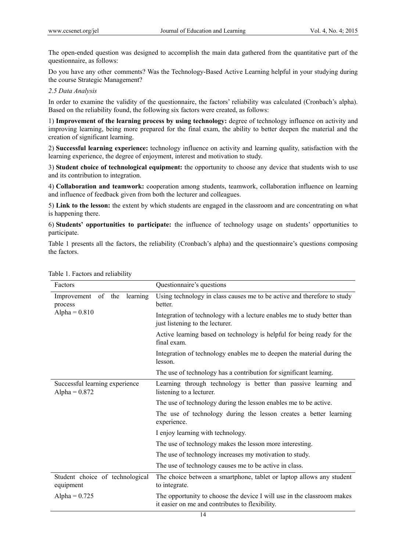The open-ended question was designed to accomplish the main data gathered from the quantitative part of the questionnaire, as follows:

Do you have any other comments? Was the Technology-Based Active Learning helpful in your studying during the course Strategic Management?

*2.5 Data Analysis* 

In order to examine the validity of the questionnaire, the factors' reliability was calculated (Cronbach's alpha). Based on the reliability found, the following six factors were created, as follows:

1) **Improvement of the learning process by using technology:** degree of technology influence on activity and improving learning, being more prepared for the final exam, the ability to better deepen the material and the creation of significant learning.

2) **Successful learning experience:** technology influence on activity and learning quality, satisfaction with the learning experience, the degree of enjoyment, interest and motivation to study.

3) **Student choice of technological equipment:** the opportunity to choose any device that students wish to use and its contribution to integration.

4) **Collaboration and teamwork:** cooperation among students, teamwork, collaboration influence on learning and influence of feedback given from both the lecturer and colleagues.

5) **Link to the lesson:** the extent by which students are engaged in the classroom and are concentrating on what is happening there.

6) **Students' opportunities to participate:** the influence of technology usage on students' opportunities to participate.

Table 1 presents all the factors, the reliability (Cronbach's alpha) and the questionnaire's questions composing the factors.

| Factors                                           | Questionnaire's questions                                                                                                 |
|---------------------------------------------------|---------------------------------------------------------------------------------------------------------------------------|
| Improvement of<br>learning<br>the<br>process      | Using technology in class causes me to be active and therefore to study<br>better.                                        |
| Alpha = $0.810$                                   | Integration of technology with a lecture enables me to study better than<br>just listening to the lecturer.               |
|                                                   | Active learning based on technology is helpful for being ready for the<br>final exam.                                     |
|                                                   | Integration of technology enables me to deepen the material during the<br>lesson.                                         |
|                                                   | The use of technology has a contribution for significant learning.                                                        |
| Successful learning experience<br>Alpha = $0.872$ | Learning through technology is better than passive learning and<br>listening to a lecturer.                               |
|                                                   | The use of technology during the lesson enables me to be active.                                                          |
|                                                   | The use of technology during the lesson creates a better learning<br>experience.                                          |
|                                                   | I enjoy learning with technology.                                                                                         |
|                                                   | The use of technology makes the lesson more interesting.                                                                  |
|                                                   | The use of technology increases my motivation to study.                                                                   |
|                                                   | The use of technology causes me to be active in class.                                                                    |
| Student choice of technological<br>equipment      | The choice between a smartphone, tablet or laptop allows any student<br>to integrate.                                     |
| Alpha = $0.725$                                   | The opportunity to choose the device I will use in the classroom makes<br>it easier on me and contributes to flexibility. |

Table 1. Factors and reliability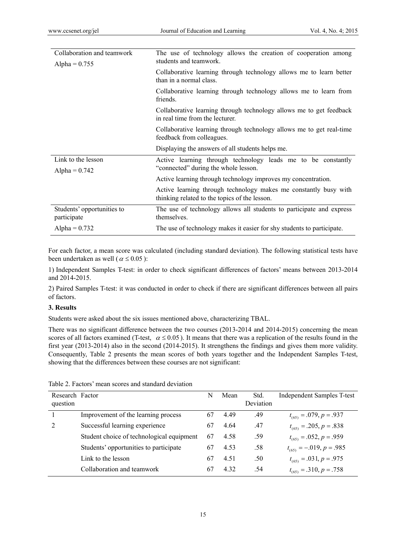| Collaboration and teamwork<br>Alpha = $0.755$ | The use of technology allows the creation of cooperation among<br>students and teamwork.                          |  |  |  |
|-----------------------------------------------|-------------------------------------------------------------------------------------------------------------------|--|--|--|
|                                               | Collaborative learning through technology allows me to learn better<br>than in a normal class.                    |  |  |  |
|                                               | Collaborative learning through technology allows me to learn from<br>friends.                                     |  |  |  |
|                                               | Collaborative learning through technology allows me to get feedback<br>in real time from the lecturer.            |  |  |  |
|                                               | Collaborative learning through technology allows me to get real-time<br>feedback from colleagues.                 |  |  |  |
|                                               | Displaying the answers of all students helps me.                                                                  |  |  |  |
| Link to the lesson<br>Alpha = $0.742$         | Active learning through technology leads me to be constantly<br>"connected" during the whole lesson.              |  |  |  |
|                                               | Active learning through technology improves my concentration.                                                     |  |  |  |
|                                               | Active learning through technology makes me constantly busy with<br>thinking related to the topics of the lesson. |  |  |  |
| Students' opportunities to<br>participate     | The use of technology allows all students to participate and express<br>themselves.                               |  |  |  |
| Alpha = $0.732$                               | The use of technology makes it easier for shy students to participate.                                            |  |  |  |

For each factor, a mean score was calculated (including standard deviation). The following statistical tests have been undertaken as well ( $\alpha \le 0.05$ ):

1) Independent Samples T-test: in order to check significant differences of factors' means between 2013-2014 and 2014-2015.

2) Paired Samples T-test: it was conducted in order to check if there are significant differences between all pairs of factors.

#### **3. Results**

Students were asked about the six issues mentioned above, characterizing TBAL.

There was no significant difference between the two courses (2013-2014 and 2014-2015) concerning the mean scores of all factors examined (T-test,  $\alpha \le 0.05$ ). It means that there was a replication of the results found in the first year (2013-2014) also in the second (2014-2015). It strengthens the findings and gives them more validity. Consequently, Table 2 presents the mean scores of both years together and the Independent Samples T-test, showing that the differences between these courses are not significant:

| Research Factor<br>question |                                           |    | Mean | Std.<br>Deviation | <b>Independent Samples T-test</b> |
|-----------------------------|-------------------------------------------|----|------|-------------------|-----------------------------------|
|                             | Improvement of the learning process       | 67 | 4.49 | .49               | $t_{(65)} = .079, p = .937$       |
|                             | Successful learning experience            | 67 | 4.64 | .47               | $t_{(65)} = .205, p = .838$       |
|                             | Student choice of technological equipment | 67 | 4.58 | .59               | $t_{(65)} = .052, p = .959$       |
|                             | Students' opportunities to participate    | 67 | 4.53 | .58               | $t_{(65)} = -.019, p = .985$      |
|                             | Link to the lesson                        | 67 | 4.51 | .50               | $t_{(65)} = .031, p = .975$       |
|                             | Collaboration and teamwork                | 67 | 4.32 | .54               | $t_{(65)} = .310, p = .758$       |

Table 2. Factors' mean scores and standard deviation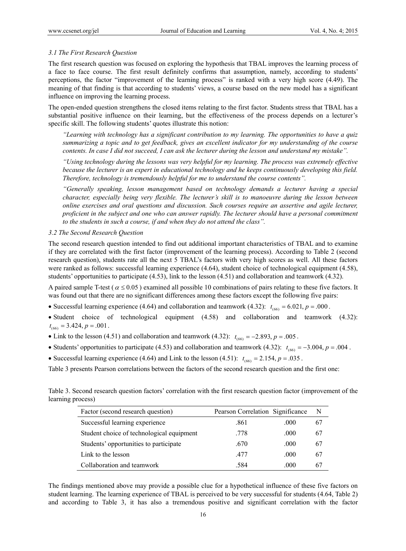## *3.1 The First Research Question*

The first research question was focused on exploring the hypothesis that TBAL improves the learning process of a face to face course. The first result definitely confirms that assumption, namely, according to students' perceptions, the factor "improvement of the learning process" is ranked with a very high score (4.49). The meaning of that finding is that according to students' views, a course based on the new model has a significant influence on improving the learning process.

The open-ended question strengthens the closed items relating to the first factor. Students stress that TBAL has a substantial positive influence on their learning, but the effectiveness of the process depends on a lecturer's specific skill. The following students' quotes illustrate this notion:

*"Learning with technology has a significant contribution to my learning. The opportunities to have a quiz summarizing a topic and to get feedback, gives an excellent indicator for my understanding of the course contents. In case I did not succeed, I can ask the lecturer during the lesson and understand my mistake".* 

*"Using technology during the lessons was very helpful for my learning. The process was extremely effective because the lecturer is an expert in educational technology and he keeps continuously developing this field. Therefore, technology is tremendously helpful for me to understand the course contents".* 

*"Generally speaking, lesson management based on technology demands a lecturer having a special character, especially being very flexible. The lecturer's skill is to manoeuvre during the lesson between online exercises and oral questions and discussion. Such courses require an assertive and agile lecturer, proficient in the subject and one who can answer rapidly. The lecturer should have a personal commitment to the students in such a course, if and when they do not attend the class".* 

#### *3.2 The Second Research Question*

The second research question intended to find out additional important characteristics of TBAL and to examine if they are correlated with the first factor (improvement of the learning process). According to Table 2 (second research question), students rate all the next 5 TBAL's factors with very high scores as well. All these factors were ranked as follows: successful learning experience (4.64), student choice of technological equipment (4.58), students' opportunities to participate (4.53), link to the lesson (4.51) and collaboration and teamwork (4.32).

A paired sample T-test ( $\alpha \le 0.05$ ) examined all possible 10 combinations of pairs relating to these five factors. It was found out that there are no significant differences among these factors except the following five pairs:

- Successful learning experience (4.64) and collaboration and teamwork (4.32):  $t_{(66)} = 6.021, p = .000$ .
- Student choice of technological equipment (4.58) and collaboration and teamwork (4.32):  $t_{(66)} = 3.424, p = .001$ .
- Link to the lesson (4.51) and collaboration and teamwork (4.32):  $t_{(66)} = -2.893$ ,  $p = .005$ .
- Students' opportunities to participate (4.53) and collaboration and teamwork (4.32):  $t_{(66)} = -3.004$ ,  $p = .004$ .
- Successful learning experience (4.64) and Link to the lesson (4.51):  $t_{(66)} = 2.154$ ,  $p = .035$ .

Table 3 presents Pearson correlations between the factors of the second research question and the first one:

Table 3. Second research question factors' correlation with the first research question factor (improvement of the learning process)

| Factor (second research question)         | Pearson Correlation Significance |      | N  |
|-------------------------------------------|----------------------------------|------|----|
| Successful learning experience            | .861                             | .000 | 67 |
| Student choice of technological equipment | .778                             | .000 | 67 |
| Students' opportunities to participate    | .670                             | .000 | 67 |
| Link to the lesson                        | .477                             | .000 | 67 |
| Collaboration and teamwork                | -584                             | .000 | 67 |

The findings mentioned above may provide a possible clue for a hypothetical influence of these five factors on student learning. The learning experience of TBAL is perceived to be very successful for students (4.64, Table 2) and according to Table 3, it has also a tremendous positive and significant correlation with the factor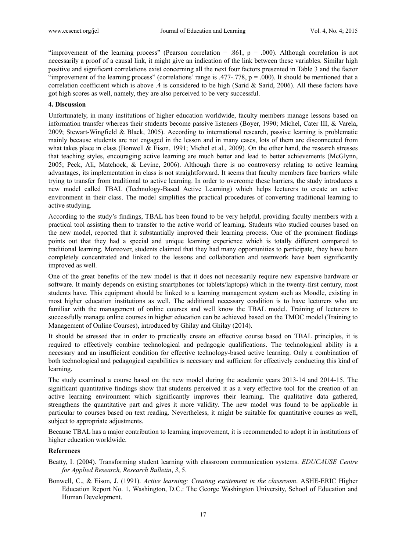"improvement of the learning process" (Pearson correlation = .861,  $p = .000$ ). Although correlation is not necessarily a proof of a causal link, it might give an indication of the link between these variables. Similar high positive and significant correlations exist concerning all the next four factors presented in Table 3 and the factor "improvement of the learning process" (correlations' range is .477-.778,  $p = .000$ ). It should be mentioned that a correlation coefficient which is above .4 is considered to be high (Sarid & Sarid, 2006). All these factors have got high scores as well, namely, they are also perceived to be very successful.

## **4. Discussion**

Unfortunately, in many institutions of higher education worldwide, faculty members manage lessons based on information transfer whereas their students become passive listeners (Boyer, 1990; Michel, Cater III, & Varela, 2009; Stewart-Wingfield & Black, 2005). According to international research, passive learning is problematic mainly because students are not engaged in the lesson and in many cases, lots of them are disconnected from what takes place in class (Bonwell & Eison, 1991; Michel et al., 2009). On the other hand, the research stresses that teaching styles, encouraging active learning are much better and lead to better achievements (McGlynn, 2005; Peck, Ali, Matchock, & Levine, 2006). Although there is no controversy relating to active learning advantages, its implementation in class is not straightforward. It seems that faculty members face barriers while trying to transfer from traditional to active learning. In order to overcome these barriers, the study introduces a new model called TBAL (Technology-Based Active Learning) which helps lecturers to create an active environment in their class. The model simplifies the practical procedures of converting traditional learning to active studying.

According to the study's findings, TBAL has been found to be very helpful, providing faculty members with a practical tool assisting them to transfer to the active world of learning. Students who studied courses based on the new model, reported that it substantially improved their learning process. One of the prominent findings points out that they had a special and unique learning experience which is totally different compared to traditional learning. Moreover, students claimed that they had many opportunities to participate, they have been completely concentrated and linked to the lessons and collaboration and teamwork have been significantly improved as well.

One of the great benefits of the new model is that it does not necessarily require new expensive hardware or software. It mainly depends on existing smartphones (or tablets/laptops) which in the twenty-first century, most students have. This equipment should be linked to a learning management system such as Moodle, existing in most higher education institutions as well. The additional necessary condition is to have lecturers who are familiar with the management of online courses and well know the TBAL model. Training of lecturers to successfully manage online courses in higher education can be achieved based on the TMOC model (Training to Management of Online Courses), introduced by Ghilay and Ghilay (2014).

It should be stressed that in order to practically create an effective course based on TBAL principles, it is required to effectively combine technological and pedagogic qualifications. The technological ability is a necessary and an insufficient condition for effective technology-based active learning. Only a combination of both technological and pedagogical capabilities is necessary and sufficient for effectively conducting this kind of learning.

The study examined a course based on the new model during the academic years 2013-14 and 2014-15. The significant quantitative findings show that students perceived it as a very effective tool for the creation of an active learning environment which significantly improves their learning. The qualitative data gathered, strengthens the quantitative part and gives it more validity. The new model was found to be applicable in particular to courses based on text reading. Nevertheless, it might be suitable for quantitative courses as well, subject to appropriate adjustments.

Because TBAL has a major contribution to learning improvement, it is recommended to adopt it in institutions of higher education worldwide.

#### **References**

Beatty, I. (2004). Transforming student learning with classroom communication systems. *EDUCAUSE Centre for Applied Research, Research Bulletin*, *3*, 5.

Bonwell, C., & Eison, J. (1991). *Active learning: Creating excitement in the classroom*. ASHE-ERIC Higher Education Report No. 1, Washington, D.C.: The George Washington University, School of Education and Human Development.